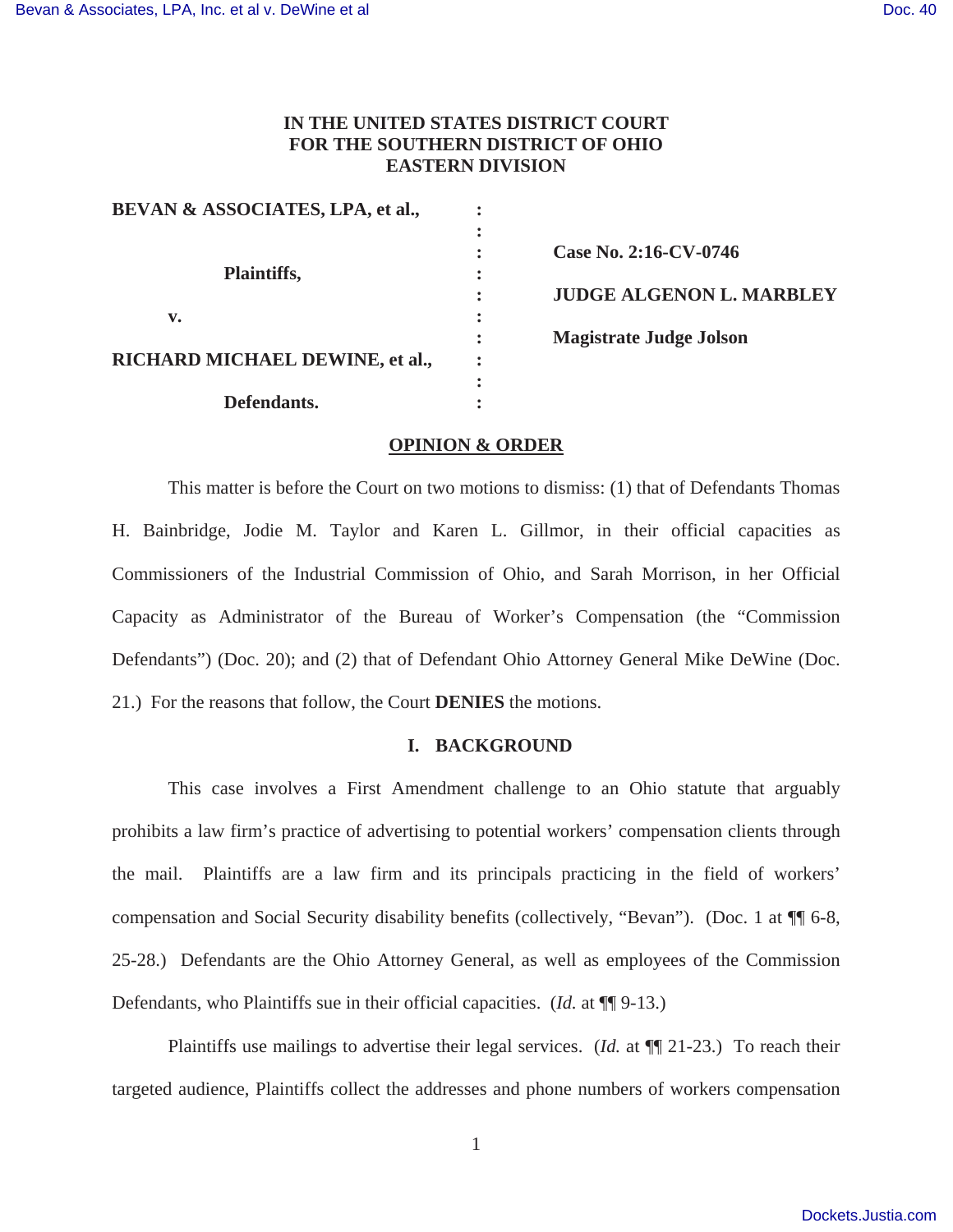## **IN THE UNITED STATES DISTRICT COURT FOR THE SOUTHERN DISTRICT OF OHIO EASTERN DIVISION**

| BEVAN & ASSOCIATES, LPA, et al., |                                 |
|----------------------------------|---------------------------------|
|                                  | Case No. 2:16-CV-0746           |
| Plaintiffs,                      | <b>JUDGE ALGENON L. MARBLEY</b> |
| v.                               |                                 |
|                                  | <b>Magistrate Judge Jolson</b>  |
| RICHARD MICHAEL DEWINE, et al.,  | $\bullet$                       |
| Defendants.                      |                                 |

#### **OPINION & ORDER**

 This matter is before the Court on two motions to dismiss: (1) that of Defendants Thomas H. Bainbridge, Jodie M. Taylor and Karen L. Gillmor, in their official capacities as Commissioners of the Industrial Commission of Ohio, and Sarah Morrison, in her Official Capacity as Administrator of the Bureau of Worker's Compensation (the "Commission Defendants") (Doc. 20); and (2) that of Defendant Ohio Attorney General Mike DeWine (Doc. 21.) For the reasons that follow, the Court **DENIES** the motions.

#### **I. BACKGROUND**

This case involves a First Amendment challenge to an Ohio statute that arguably prohibits a law firm's practice of advertising to potential workers' compensation clients through the mail. Plaintiffs are a law firm and its principals practicing in the field of workers' compensation and Social Security disability benefits (collectively, "Bevan"). (Doc. 1 at ¶¶ 6-8, 25-28.) Defendants are the Ohio Attorney General, as well as employees of the Commission Defendants, who Plaintiffs sue in their official capacities. (*Id.* at ¶¶ 9-13.)

Plaintiffs use mailings to advertise their legal services. (*Id.* at ¶¶ 21-23.) To reach their targeted audience, Plaintiffs collect the addresses and phone numbers of workers compensation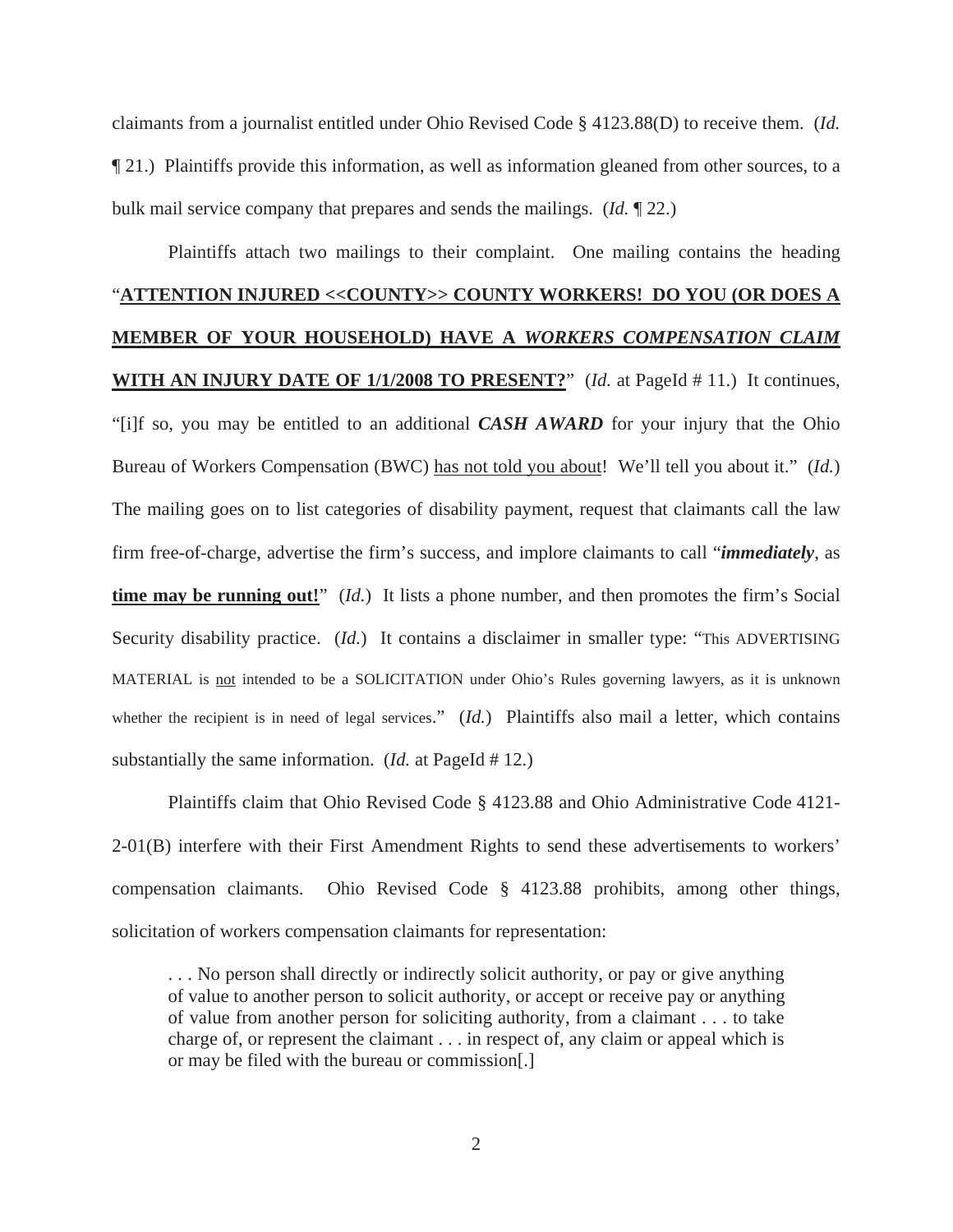claimants from a journalist entitled under Ohio Revised Code § 4123.88(D) to receive them. (*Id.* ¶ 21.) Plaintiffs provide this information, as well as information gleaned from other sources, to a bulk mail service company that prepares and sends the mailings. (*Id.* ¶ 22.)

# Plaintiffs attach two mailings to their complaint. One mailing contains the heading "**ATTENTION INJURED <<COUNTY>> COUNTY WORKERS! DO YOU (OR DOES A MEMBER OF YOUR HOUSEHOLD) HAVE A** *WORKERS COMPENSATION CLAIM* **WITH AN INJURY DATE OF 1/1/2008 TO PRESENT?**" (*Id.* at PageId # 11.) It continues, "[i]f so, you may be entitled to an additional *CASH AWARD* for your injury that the Ohio Bureau of Workers Compensation (BWC) has not told you about! We'll tell you about it." (*Id.*) The mailing goes on to list categories of disability payment, request that claimants call the law firm free-of-charge, advertise the firm's success, and implore claimants to call "*immediately*, as **time may be running out!**" (*Id.*) It lists a phone number, and then promotes the firm's Social Security disability practice. (*Id.*) It contains a disclaimer in smaller type: "This ADVERTISING MATERIAL is not intended to be a SOLICITATION under Ohio's Rules governing lawyers, as it is unknown whether the recipient is in need of legal services." (*Id.*) Plaintiffs also mail a letter, which contains substantially the same information. (*Id.* at PageId # 12.)

Plaintiffs claim that Ohio Revised Code § 4123.88 and Ohio Administrative Code 4121- 2-01(B) interfere with their First Amendment Rights to send these advertisements to workers' compensation claimants. Ohio Revised Code § 4123.88 prohibits, among other things, solicitation of workers compensation claimants for representation:

. . . No person shall directly or indirectly solicit authority, or pay or give anything of value to another person to solicit authority, or accept or receive pay or anything of value from another person for soliciting authority, from a claimant . . . to take charge of, or represent the claimant . . . in respect of, any claim or appeal which is or may be filed with the bureau or commission[.]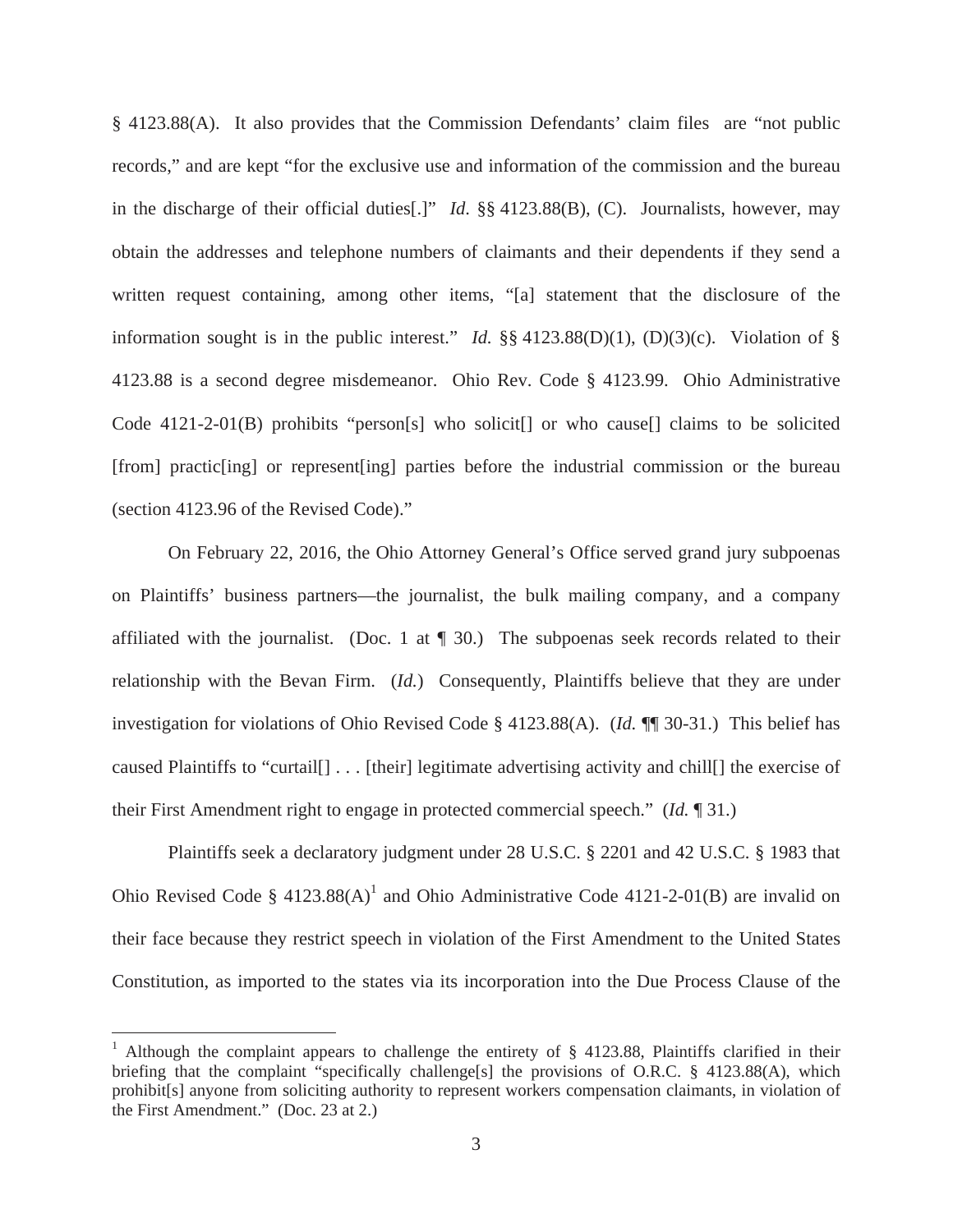§ 4123.88(A). It also provides that the Commission Defendants' claim files are "not public records," and are kept "for the exclusive use and information of the commission and the bureau in the discharge of their official duties[.]" *Id*. §§ 4123.88(B), (C). Journalists, however, may obtain the addresses and telephone numbers of claimants and their dependents if they send a written request containing, among other items, "[a] statement that the disclosure of the information sought is in the public interest." *Id.* §§ 4123.88(D)(1), (D)(3)(c). Violation of § 4123.88 is a second degree misdemeanor. Ohio Rev. Code § 4123.99. Ohio Administrative Code 4121-2-01(B) prohibits "person[s] who solicit[] or who cause[] claims to be solicited [from] practic[ing] or represent[ing] parties before the industrial commission or the bureau (section 4123.96 of the Revised Code)."

 On February 22, 2016, the Ohio Attorney General's Office served grand jury subpoenas on Plaintiffs' business partners—the journalist, the bulk mailing company, and a company affiliated with the journalist. (Doc. 1 at  $\P$  30.) The subpoenas seek records related to their relationship with the Bevan Firm. (*Id.*) Consequently, Plaintiffs believe that they are under investigation for violations of Ohio Revised Code § 4123.88(A). (*Id.* ¶¶ 30-31.) This belief has caused Plaintiffs to "curtail[] . . . [their] legitimate advertising activity and chill[] the exercise of their First Amendment right to engage in protected commercial speech." (*Id.* ¶ 31.)

Plaintiffs seek a declaratory judgment under 28 U.S.C. § 2201 and 42 U.S.C. § 1983 that Ohio Revised Code §  $4123.88(A)^1$  and Ohio Administrative Code 4121-2-01(B) are invalid on their face because they restrict speech in violation of the First Amendment to the United States Constitution, as imported to the states via its incorporation into the Due Process Clause of the

<sup>&</sup>lt;sup>1</sup> Although the complaint appears to challenge the entirety of § 4123.88, Plaintiffs clarified in their briefing that the complaint "specifically challenge[s] the provisions of O.R.C. § 4123.88(A), which prohibit[s] anyone from soliciting authority to represent workers compensation claimants, in violation of the First Amendment." (Doc. 23 at 2.)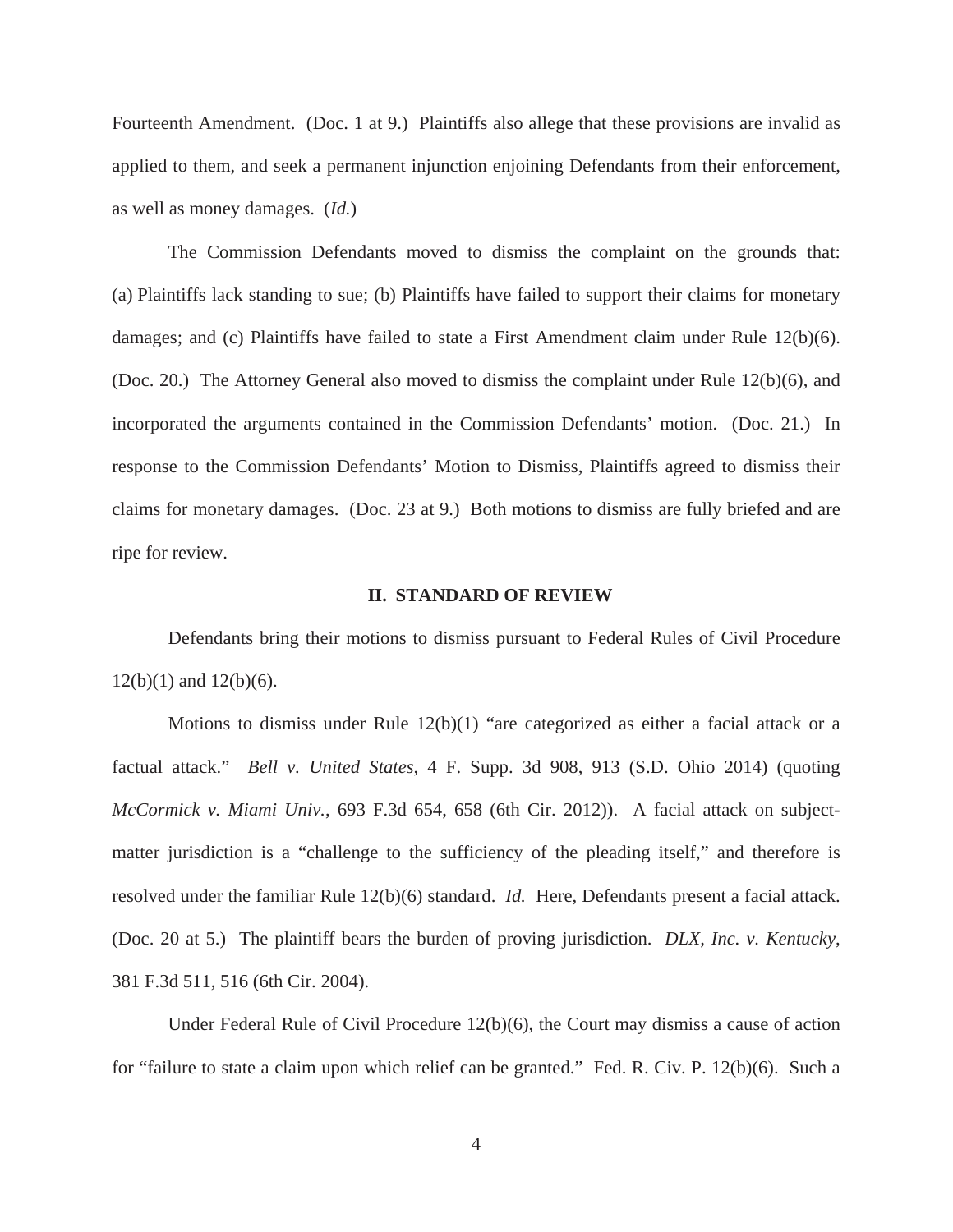Fourteenth Amendment. (Doc. 1 at 9.) Plaintiffs also allege that these provisions are invalid as applied to them, and seek a permanent injunction enjoining Defendants from their enforcement, as well as money damages. (*Id.*)

The Commission Defendants moved to dismiss the complaint on the grounds that: (a) Plaintiffs lack standing to sue; (b) Plaintiffs have failed to support their claims for monetary damages; and (c) Plaintiffs have failed to state a First Amendment claim under Rule 12(b)(6). (Doc. 20.) The Attorney General also moved to dismiss the complaint under Rule 12(b)(6), and incorporated the arguments contained in the Commission Defendants' motion. (Doc. 21.) In response to the Commission Defendants' Motion to Dismiss, Plaintiffs agreed to dismiss their claims for monetary damages. (Doc. 23 at 9.) Both motions to dismiss are fully briefed and are ripe for review.

#### **II. STANDARD OF REVIEW**

Defendants bring their motions to dismiss pursuant to Federal Rules of Civil Procedure  $12(b)(1)$  and  $12(b)(6)$ .

Motions to dismiss under Rule 12(b)(1) "are categorized as either a facial attack or a factual attack." *Bell v. United States*, 4 F. Supp. 3d 908, 913 (S.D. Ohio 2014) (quoting *McCormick v. Miami Univ.*, 693 F.3d 654, 658 (6th Cir. 2012)). A facial attack on subjectmatter jurisdiction is a "challenge to the sufficiency of the pleading itself," and therefore is resolved under the familiar Rule 12(b)(6) standard. *Id.* Here, Defendants present a facial attack. (Doc. 20 at 5.) The plaintiff bears the burden of proving jurisdiction. *DLX, Inc. v. Kentucky*, 381 F.3d 511, 516 (6th Cir. 2004).

Under Federal Rule of Civil Procedure 12(b)(6), the Court may dismiss a cause of action for "failure to state a claim upon which relief can be granted." Fed. R. Civ. P. 12(b)(6). Such a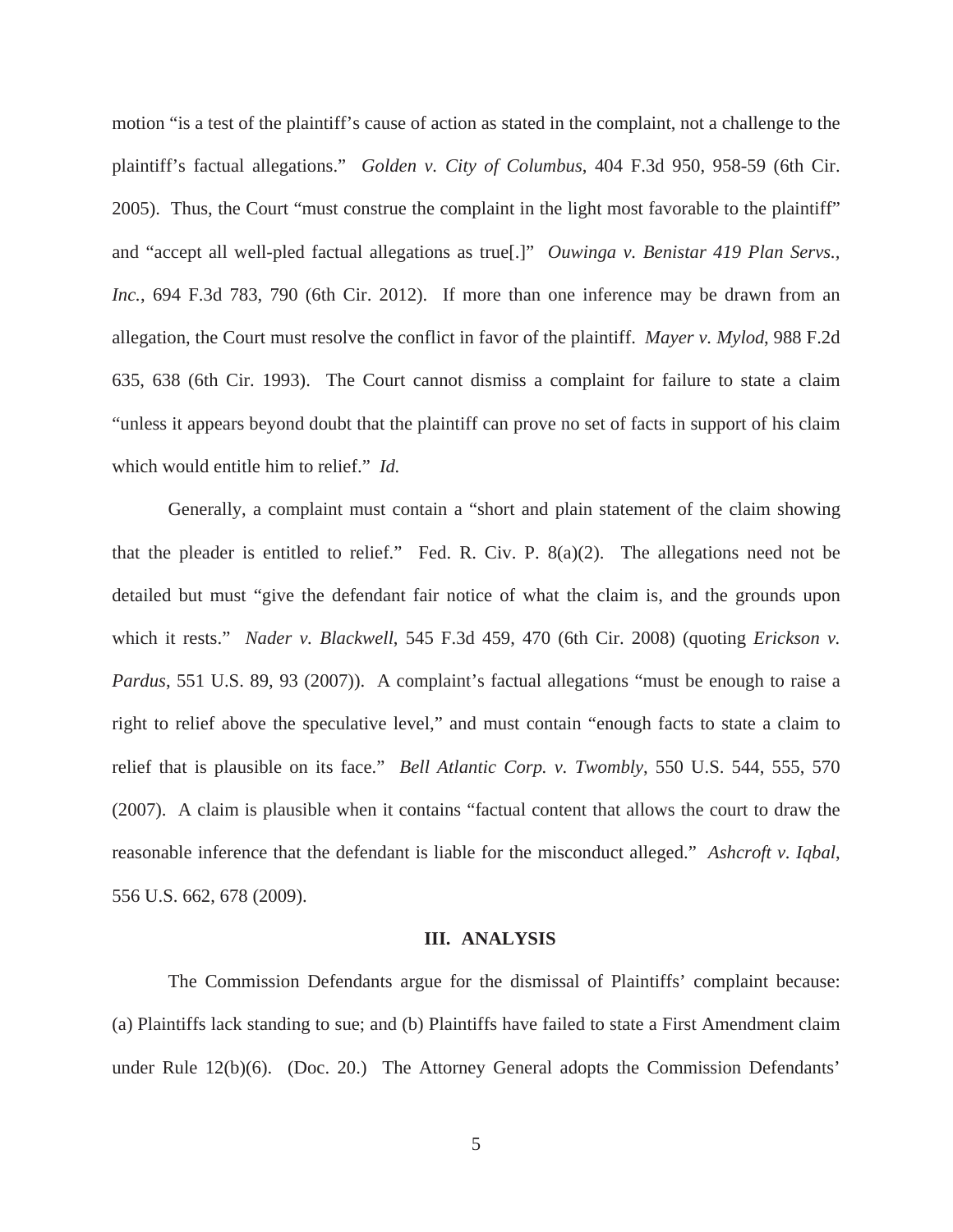motion "is a test of the plaintiff's cause of action as stated in the complaint, not a challenge to the plaintiff's factual allegations." *Golden v. City of Columbus*, 404 F.3d 950, 958-59 (6th Cir. 2005). Thus, the Court "must construe the complaint in the light most favorable to the plaintiff" and "accept all well-pled factual allegations as true[.]" *Ouwinga v. Benistar 419 Plan Servs., Inc.*, 694 F.3d 783, 790 (6th Cir. 2012). If more than one inference may be drawn from an allegation, the Court must resolve the conflict in favor of the plaintiff. *Mayer v. Mylod*, 988 F.2d 635, 638 (6th Cir. 1993). The Court cannot dismiss a complaint for failure to state a claim "unless it appears beyond doubt that the plaintiff can prove no set of facts in support of his claim which would entitle him to relief." *Id.*

Generally, a complaint must contain a "short and plain statement of the claim showing that the pleader is entitled to relief." Fed. R. Civ. P.  $8(a)(2)$ . The allegations need not be detailed but must "give the defendant fair notice of what the claim is, and the grounds upon which it rests." *Nader v. Blackwell*, 545 F.3d 459, 470 (6th Cir. 2008) (quoting *Erickson v. Pardus*, 551 U.S. 89, 93 (2007)). A complaint's factual allegations "must be enough to raise a right to relief above the speculative level," and must contain "enough facts to state a claim to relief that is plausible on its face." *Bell Atlantic Corp. v. Twombly*, 550 U.S. 544, 555, 570 (2007). A claim is plausible when it contains "factual content that allows the court to draw the reasonable inference that the defendant is liable for the misconduct alleged." *Ashcroft v. Iqbal*, 556 U.S. 662, 678 (2009).

#### **III. ANALYSIS**

The Commission Defendants argue for the dismissal of Plaintiffs' complaint because: (a) Plaintiffs lack standing to sue; and (b) Plaintiffs have failed to state a First Amendment claim under Rule 12(b)(6). (Doc. 20.) The Attorney General adopts the Commission Defendants'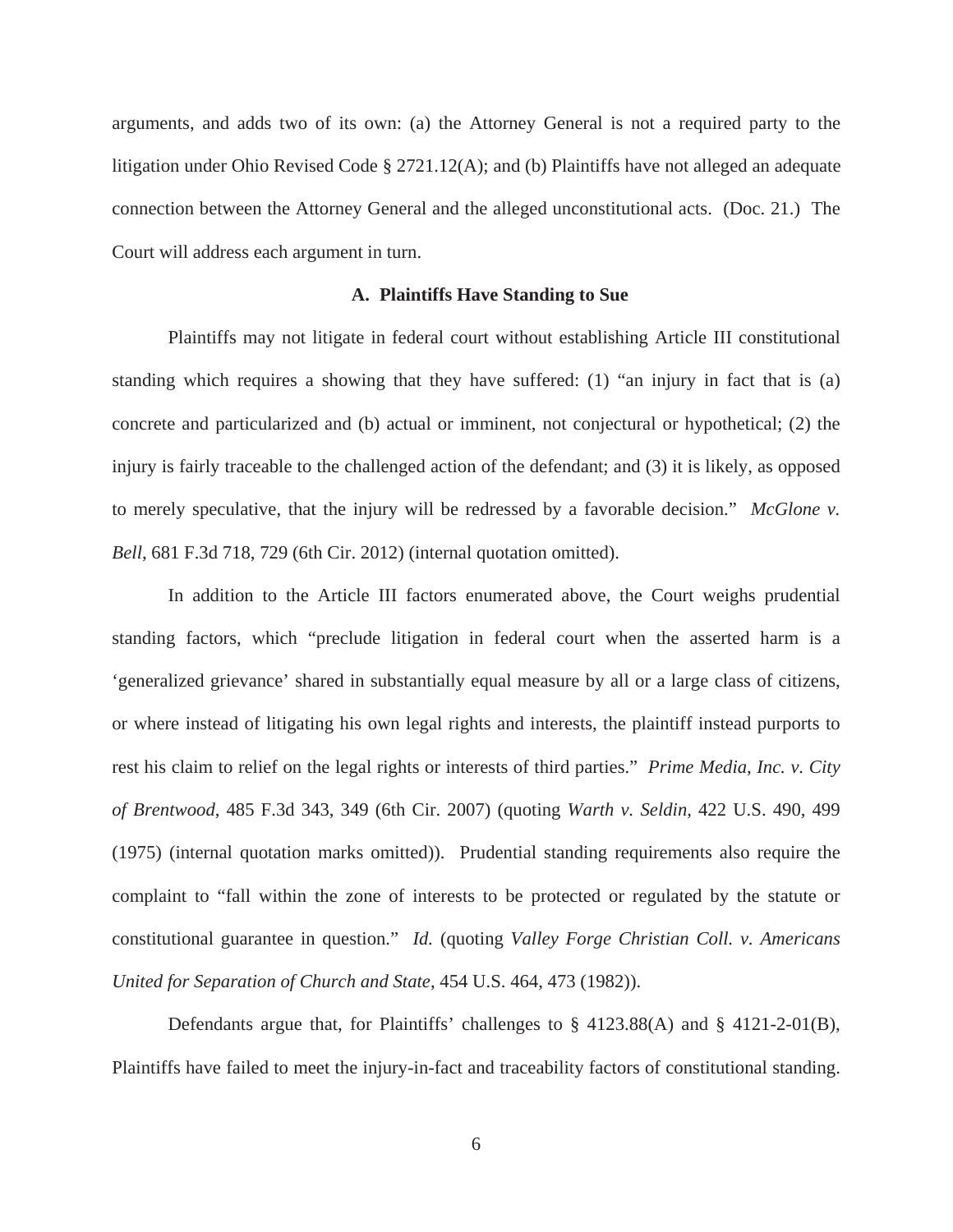arguments, and adds two of its own: (a) the Attorney General is not a required party to the litigation under Ohio Revised Code § 2721.12(A); and (b) Plaintiffs have not alleged an adequate connection between the Attorney General and the alleged unconstitutional acts. (Doc. 21.) The Court will address each argument in turn.

#### **A. Plaintiffs Have Standing to Sue**

Plaintiffs may not litigate in federal court without establishing Article III constitutional standing which requires a showing that they have suffered: (1) "an injury in fact that is (a) concrete and particularized and (b) actual or imminent, not conjectural or hypothetical; (2) the injury is fairly traceable to the challenged action of the defendant; and (3) it is likely, as opposed to merely speculative, that the injury will be redressed by a favorable decision." *McGlone v. Bell*, 681 F.3d 718, 729 (6th Cir. 2012) (internal quotation omitted).

In addition to the Article III factors enumerated above, the Court weighs prudential standing factors, which "preclude litigation in federal court when the asserted harm is a 'generalized grievance' shared in substantially equal measure by all or a large class of citizens, or where instead of litigating his own legal rights and interests, the plaintiff instead purports to rest his claim to relief on the legal rights or interests of third parties." *Prime Media, Inc. v. City of Brentwood*, 485 F.3d 343, 349 (6th Cir. 2007) (quoting *Warth v. Seldin*, 422 U.S. 490, 499 (1975) (internal quotation marks omitted)). Prudential standing requirements also require the complaint to "fall within the zone of interests to be protected or regulated by the statute or constitutional guarantee in question." *Id.* (quoting *Valley Forge Christian Coll. v. Americans United for Separation of Church and State*, 454 U.S. 464, 473 (1982)).

Defendants argue that, for Plaintiffs' challenges to § 4123.88(A) and § 4121-2-01(B), Plaintiffs have failed to meet the injury-in-fact and traceability factors of constitutional standing.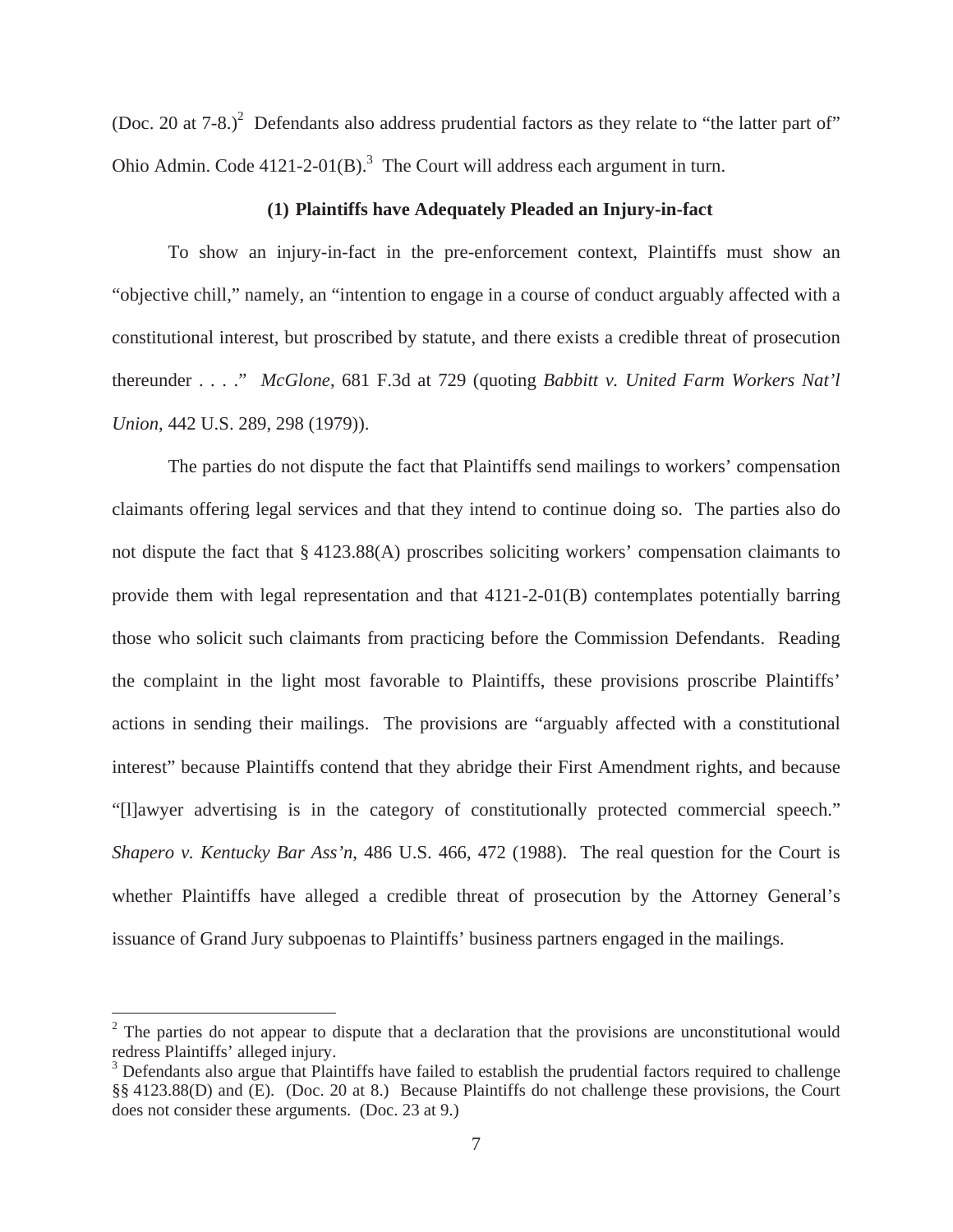(Doc. 20 at  $7-8$ .)<sup>2</sup> Defendants also address prudential factors as they relate to "the latter part of" Ohio Admin. Code  $4121-2-01(B)$ .<sup>3</sup> The Court will address each argument in turn.

#### **(1) Plaintiffs have Adequately Pleaded an Injury-in-fact**

To show an injury-in-fact in the pre-enforcement context, Plaintiffs must show an "objective chill," namely, an "intention to engage in a course of conduct arguably affected with a constitutional interest, but proscribed by statute, and there exists a credible threat of prosecution thereunder . . . ." *McGlone*, 681 F.3d at 729 (quoting *Babbitt v. United Farm Workers Nat'l Union*, 442 U.S. 289, 298 (1979)).

The parties do not dispute the fact that Plaintiffs send mailings to workers' compensation claimants offering legal services and that they intend to continue doing so. The parties also do not dispute the fact that § 4123.88(A) proscribes soliciting workers' compensation claimants to provide them with legal representation and that 4121-2-01(B) contemplates potentially barring those who solicit such claimants from practicing before the Commission Defendants. Reading the complaint in the light most favorable to Plaintiffs, these provisions proscribe Plaintiffs' actions in sending their mailings. The provisions are "arguably affected with a constitutional interest" because Plaintiffs contend that they abridge their First Amendment rights, and because "[l]awyer advertising is in the category of constitutionally protected commercial speech." *Shapero v. Kentucky Bar Ass'n*, 486 U.S. 466, 472 (1988). The real question for the Court is whether Plaintiffs have alleged a credible threat of prosecution by the Attorney General's issuance of Grand Jury subpoenas to Plaintiffs' business partners engaged in the mailings.

 $2$  The parties do not appear to dispute that a declaration that the provisions are unconstitutional would redress Plaintiffs' alleged injury.

<sup>&</sup>lt;sup>3</sup> Defendants also argue that Plaintiffs have failed to establish the prudential factors required to challenge §§ 4123.88(D) and (E). (Doc. 20 at 8.) Because Plaintiffs do not challenge these provisions, the Court does not consider these arguments. (Doc. 23 at 9.)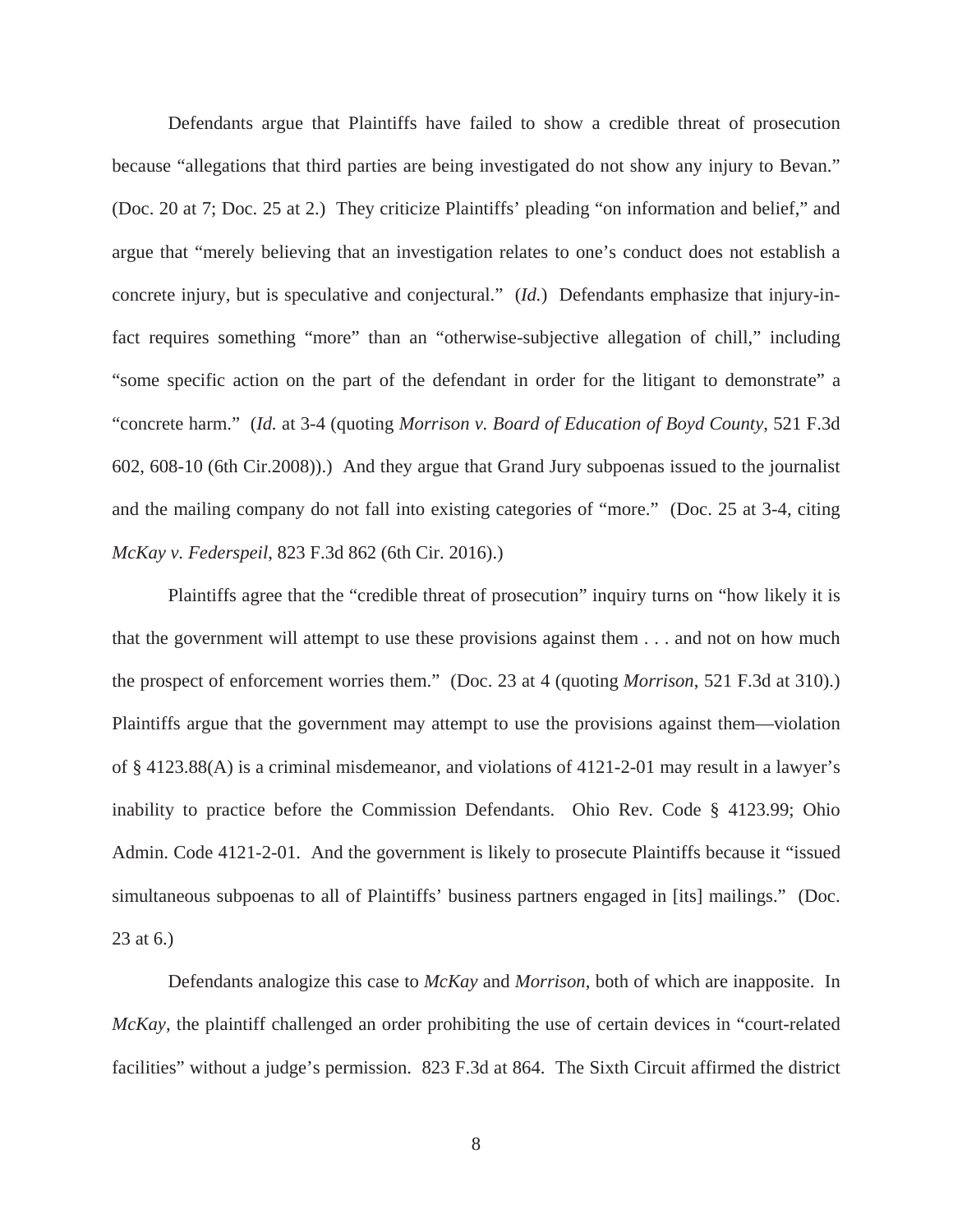Defendants argue that Plaintiffs have failed to show a credible threat of prosecution because "allegations that third parties are being investigated do not show any injury to Bevan." (Doc. 20 at 7; Doc. 25 at 2.) They criticize Plaintiffs' pleading "on information and belief," and argue that "merely believing that an investigation relates to one's conduct does not establish a concrete injury, but is speculative and conjectural." (*Id.*) Defendants emphasize that injury-infact requires something "more" than an "otherwise-subjective allegation of chill," including "some specific action on the part of the defendant in order for the litigant to demonstrate" a "concrete harm." (*Id.* at 3-4 (quoting *Morrison v. Board of Education of Boyd County*, 521 F.3d 602, 608-10 (6th Cir.2008)).) And they argue that Grand Jury subpoenas issued to the journalist and the mailing company do not fall into existing categories of "more." (Doc. 25 at 3-4, citing *McKay v. Federspeil*, 823 F.3d 862 (6th Cir. 2016).)

Plaintiffs agree that the "credible threat of prosecution" inquiry turns on "how likely it is that the government will attempt to use these provisions against them . . . and not on how much the prospect of enforcement worries them." (Doc. 23 at 4 (quoting *Morrison*, 521 F.3d at 310).) Plaintiffs argue that the government may attempt to use the provisions against them—violation of § 4123.88(A) is a criminal misdemeanor, and violations of 4121-2-01 may result in a lawyer's inability to practice before the Commission Defendants. Ohio Rev. Code § 4123.99; Ohio Admin. Code 4121-2-01. And the government is likely to prosecute Plaintiffs because it "issued simultaneous subpoenas to all of Plaintiffs' business partners engaged in [its] mailings." (Doc. 23 at 6.)

Defendants analogize this case to *McKay* and *Morrison*, both of which are inapposite. In *McKay*, the plaintiff challenged an order prohibiting the use of certain devices in "court-related facilities" without a judge's permission. 823 F.3d at 864. The Sixth Circuit affirmed the district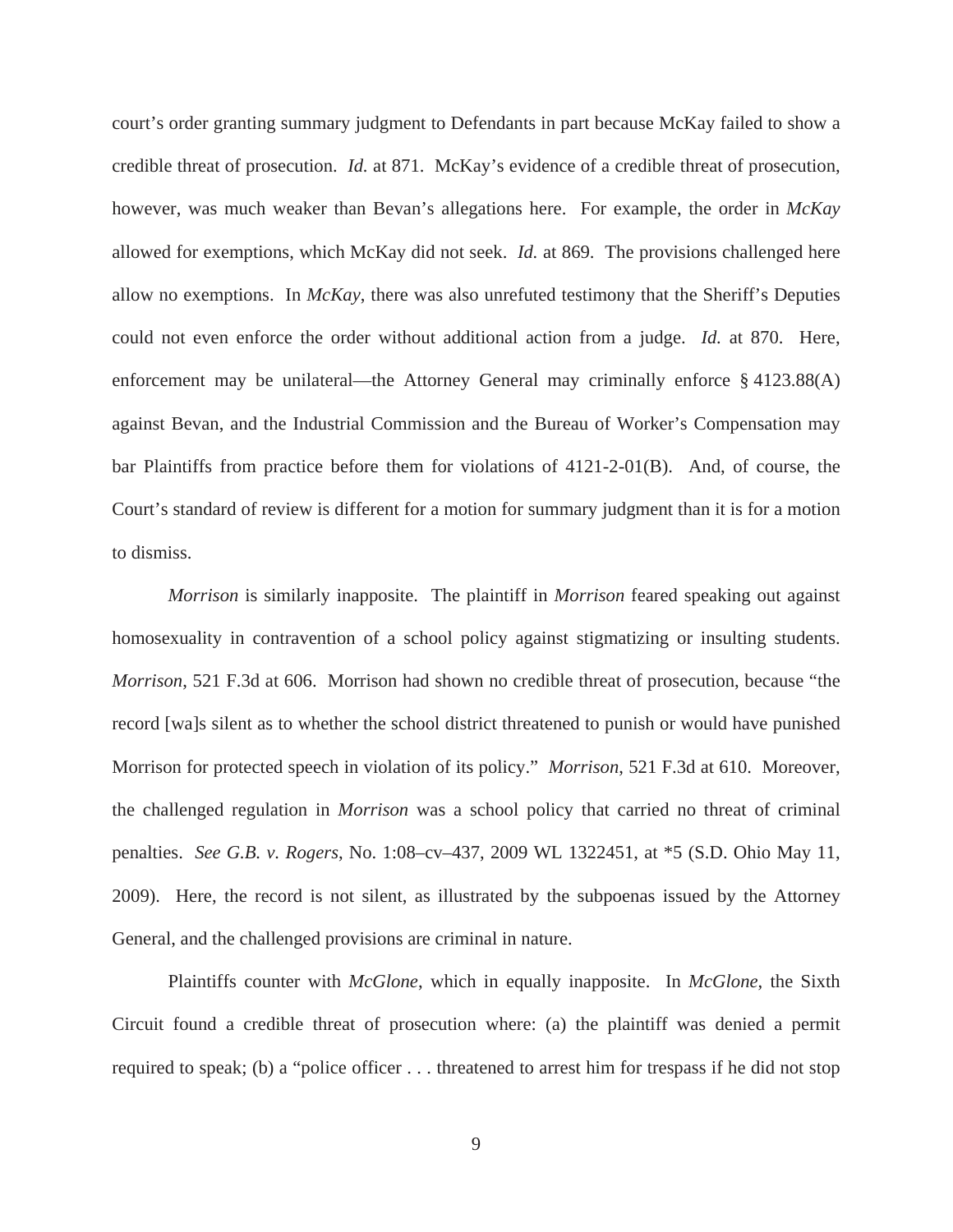court's order granting summary judgment to Defendants in part because McKay failed to show a credible threat of prosecution. *Id.* at 871. McKay's evidence of a credible threat of prosecution, however, was much weaker than Bevan's allegations here. For example, the order in *McKay*  allowed for exemptions, which McKay did not seek. *Id.* at 869. The provisions challenged here allow no exemptions. In *McKay*, there was also unrefuted testimony that the Sheriff's Deputies could not even enforce the order without additional action from a judge. *Id.* at 870. Here, enforcement may be unilateral—the Attorney General may criminally enforce § 4123.88(A) against Bevan, and the Industrial Commission and the Bureau of Worker's Compensation may bar Plaintiffs from practice before them for violations of 4121-2-01(B). And, of course, the Court's standard of review is different for a motion for summary judgment than it is for a motion to dismiss.

*Morrison* is similarly inapposite. The plaintiff in *Morrison* feared speaking out against homosexuality in contravention of a school policy against stigmatizing or insulting students. *Morrison*, 521 F.3d at 606. Morrison had shown no credible threat of prosecution, because "the record [wa]s silent as to whether the school district threatened to punish or would have punished Morrison for protected speech in violation of its policy." *Morrison*, 521 F.3d at 610. Moreover, the challenged regulation in *Morrison* was a school policy that carried no threat of criminal penalties. *See G.B. v. Rogers*, No. 1:08–cv–437, 2009 WL 1322451, at \*5 (S.D. Ohio May 11, 2009). Here, the record is not silent, as illustrated by the subpoenas issued by the Attorney General, and the challenged provisions are criminal in nature.

Plaintiffs counter with *McGlone*, which in equally inapposite. In *McGlone*, the Sixth Circuit found a credible threat of prosecution where: (a) the plaintiff was denied a permit required to speak; (b) a "police officer . . . threatened to arrest him for trespass if he did not stop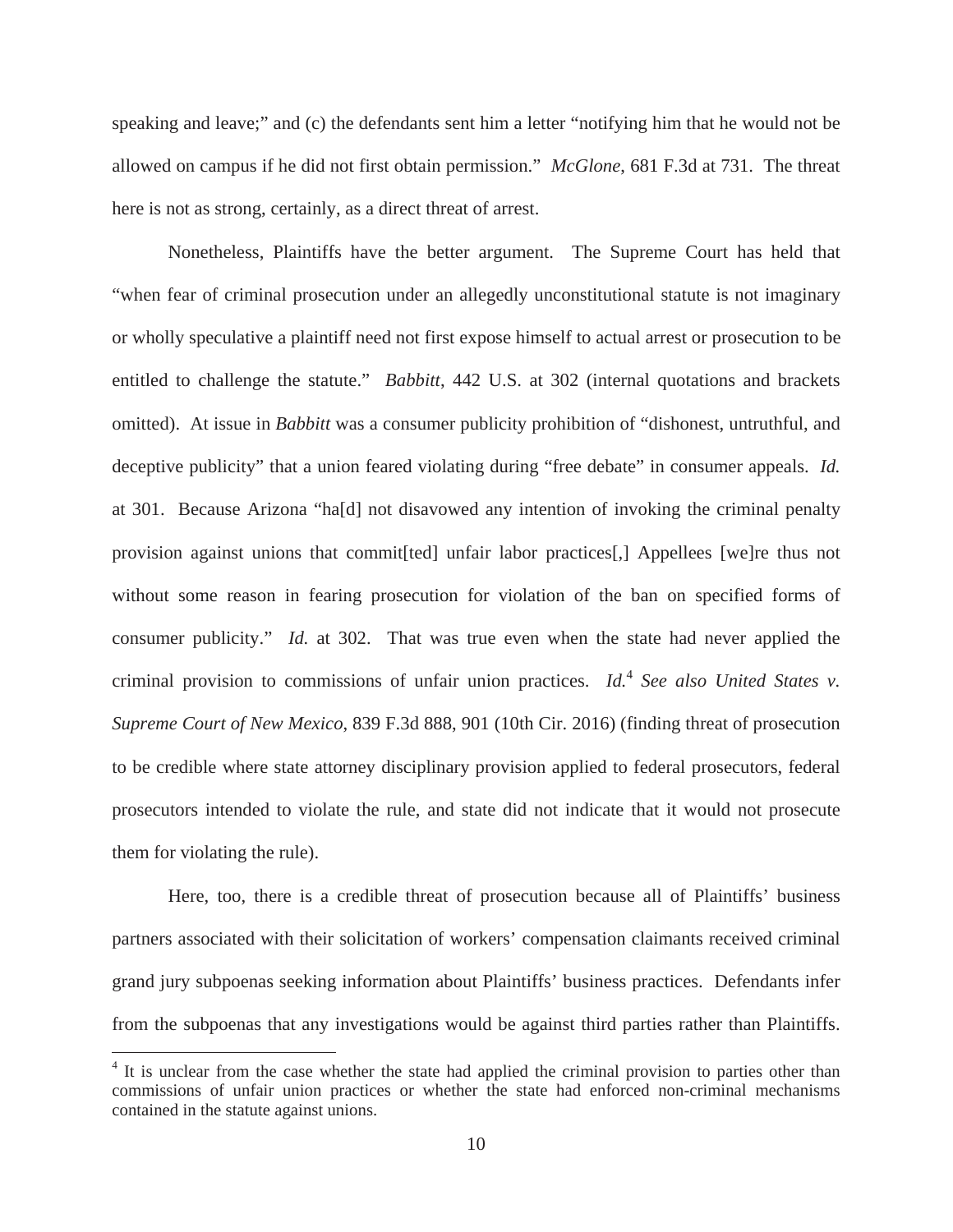speaking and leave;" and (c) the defendants sent him a letter "notifying him that he would not be allowed on campus if he did not first obtain permission." *McGlone*, 681 F.3d at 731. The threat here is not as strong, certainly, as a direct threat of arrest.

Nonetheless, Plaintiffs have the better argument. The Supreme Court has held that "when fear of criminal prosecution under an allegedly unconstitutional statute is not imaginary or wholly speculative a plaintiff need not first expose himself to actual arrest or prosecution to be entitled to challenge the statute." *Babbitt*, 442 U.S. at 302 (internal quotations and brackets omitted). At issue in *Babbitt* was a consumer publicity prohibition of "dishonest, untruthful, and deceptive publicity" that a union feared violating during "free debate" in consumer appeals. *Id.* at 301. Because Arizona "ha[d] not disavowed any intention of invoking the criminal penalty provision against unions that commit[ted] unfair labor practices[,] Appellees [we]re thus not without some reason in fearing prosecution for violation of the ban on specified forms of consumer publicity." *Id.* at 302. That was true even when the state had never applied the criminal provision to commissions of unfair union practices. *Id.*<sup>4</sup> *See also United States v. Supreme Court of New Mexico*, 839 F.3d 888, 901 (10th Cir. 2016) (finding threat of prosecution to be credible where state attorney disciplinary provision applied to federal prosecutors, federal prosecutors intended to violate the rule, and state did not indicate that it would not prosecute them for violating the rule).

Here, too, there is a credible threat of prosecution because all of Plaintiffs' business partners associated with their solicitation of workers' compensation claimants received criminal grand jury subpoenas seeking information about Plaintiffs' business practices. Defendants infer from the subpoenas that any investigations would be against third parties rather than Plaintiffs.

<sup>&</sup>lt;sup>4</sup> It is unclear from the case whether the state had applied the criminal provision to parties other than commissions of unfair union practices or whether the state had enforced non-criminal mechanisms contained in the statute against unions.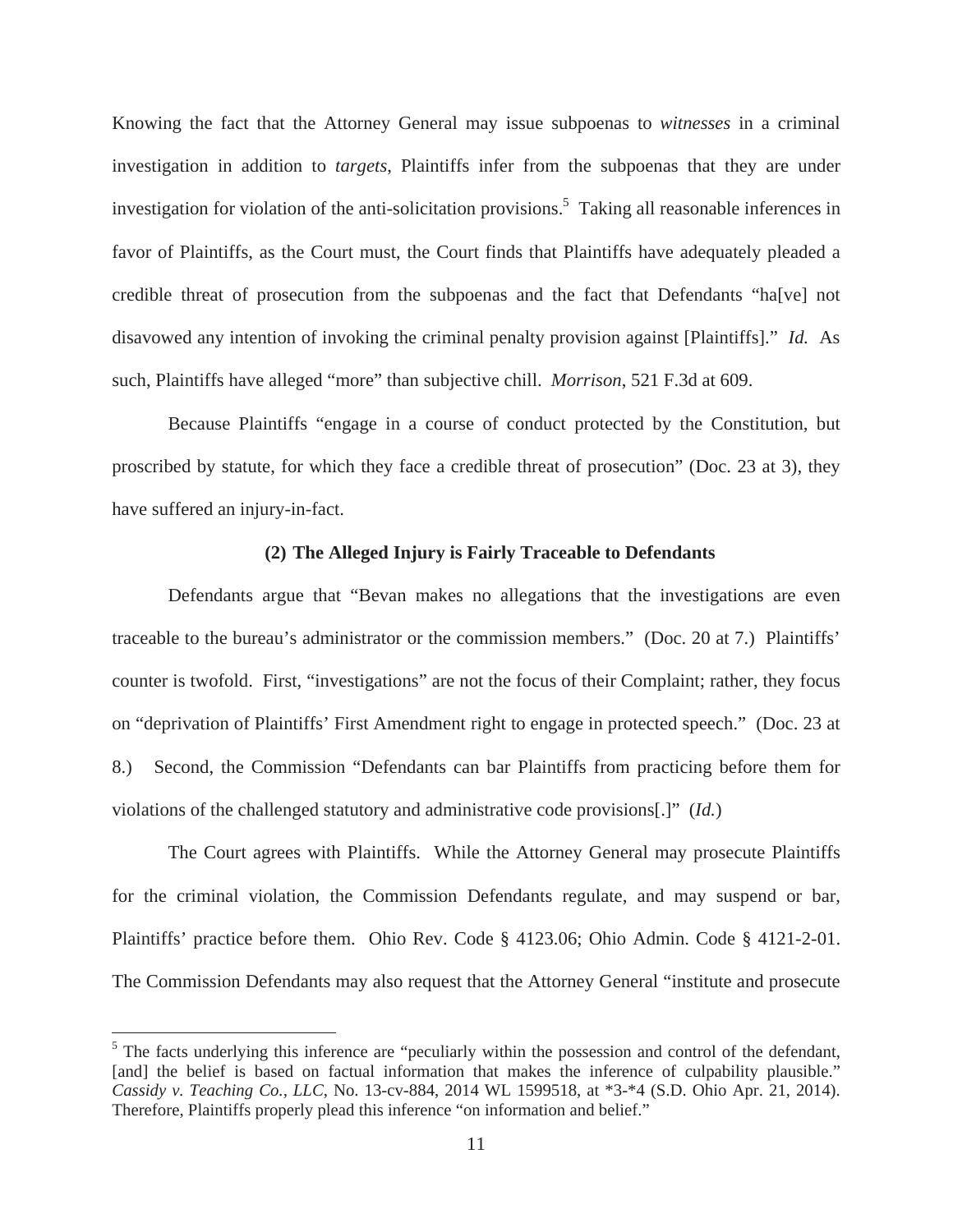Knowing the fact that the Attorney General may issue subpoenas to *witnesses* in a criminal investigation in addition to *targets*, Plaintiffs infer from the subpoenas that they are under investigation for violation of the anti-solicitation provisions.<sup>5</sup> Taking all reasonable inferences in favor of Plaintiffs, as the Court must, the Court finds that Plaintiffs have adequately pleaded a credible threat of prosecution from the subpoenas and the fact that Defendants "ha[ve] not disavowed any intention of invoking the criminal penalty provision against [Plaintiffs]." *Id.* As such, Plaintiffs have alleged "more" than subjective chill. *Morrison*, 521 F.3d at 609.

 Because Plaintiffs "engage in a course of conduct protected by the Constitution, but proscribed by statute, for which they face a credible threat of prosecution" (Doc. 23 at 3), they have suffered an injury-in-fact.

#### **(2) The Alleged Injury is Fairly Traceable to Defendants**

Defendants argue that "Bevan makes no allegations that the investigations are even traceable to the bureau's administrator or the commission members." (Doc. 20 at 7.) Plaintiffs' counter is twofold. First, "investigations" are not the focus of their Complaint; rather, they focus on "deprivation of Plaintiffs' First Amendment right to engage in protected speech." (Doc. 23 at 8.) Second, the Commission "Defendants can bar Plaintiffs from practicing before them for violations of the challenged statutory and administrative code provisions[.]" (*Id.*)

The Court agrees with Plaintiffs. While the Attorney General may prosecute Plaintiffs for the criminal violation, the Commission Defendants regulate, and may suspend or bar, Plaintiffs' practice before them. Ohio Rev. Code § 4123.06; Ohio Admin. Code § 4121-2-01. The Commission Defendants may also request that the Attorney General "institute and prosecute

<sup>&</sup>lt;sup>5</sup> The facts underlying this inference are "peculiarly within the possession and control of the defendant, [and] the belief is based on factual information that makes the inference of culpability plausible." *Cassidy v. Teaching Co., LLC*, No. 13-cv-884, 2014 WL 1599518, at \*3-\*4 (S.D. Ohio Apr. 21, 2014). Therefore, Plaintiffs properly plead this inference "on information and belief."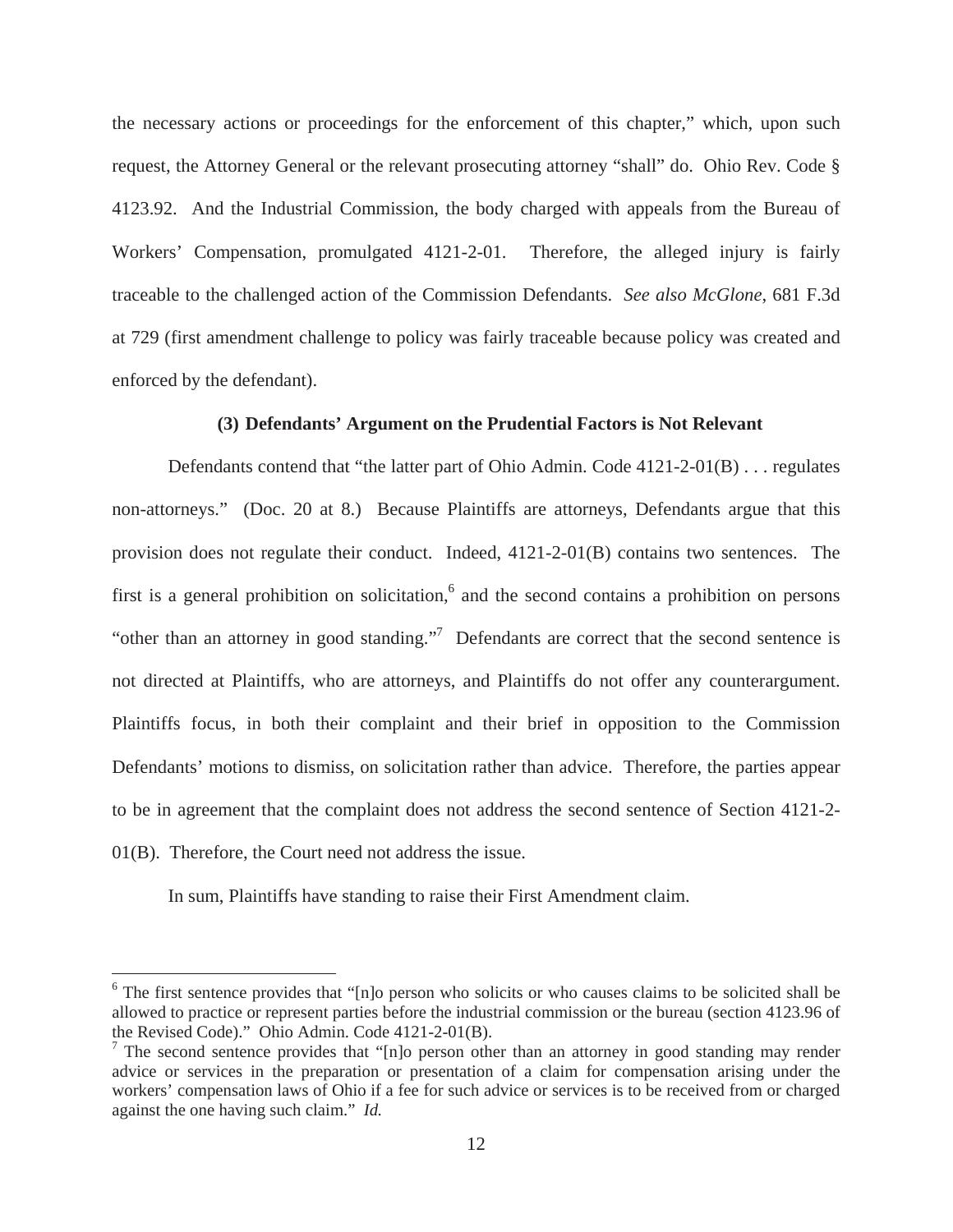the necessary actions or proceedings for the enforcement of this chapter," which, upon such request, the Attorney General or the relevant prosecuting attorney "shall" do. Ohio Rev. Code § 4123.92. And the Industrial Commission, the body charged with appeals from the Bureau of Workers' Compensation, promulgated 4121-2-01. Therefore, the alleged injury is fairly traceable to the challenged action of the Commission Defendants. *See also McGlone*, 681 F.3d at 729 (first amendment challenge to policy was fairly traceable because policy was created and enforced by the defendant).

### **(3) Defendants' Argument on the Prudential Factors is Not Relevant**

Defendants contend that "the latter part of Ohio Admin. Code 4121-2-01(B) . . . regulates non-attorneys." (Doc. 20 at 8.) Because Plaintiffs are attorneys, Defendants argue that this provision does not regulate their conduct. Indeed, 4121-2-01(B) contains two sentences. The first is a general prohibition on solicitation, $6$  and the second contains a prohibition on persons "other than an attorney in good standing."<sup>7</sup> Defendants are correct that the second sentence is not directed at Plaintiffs, who are attorneys, and Plaintiffs do not offer any counterargument. Plaintiffs focus, in both their complaint and their brief in opposition to the Commission Defendants' motions to dismiss, on solicitation rather than advice. Therefore, the parties appear to be in agreement that the complaint does not address the second sentence of Section 4121-2- 01(B). Therefore, the Court need not address the issue.

In sum, Plaintiffs have standing to raise their First Amendment claim.

<sup>&</sup>lt;sup>6</sup> The first sentence provides that "[n]o person who solicits or who causes claims to be solicited shall be allowed to practice or represent parties before the industrial commission or the bureau (section 4123.96 of the Revised Code)." Ohio Admin. Code 4121-2-01(B).

<sup>&</sup>lt;sup>7</sup> The second sentence provides that "[n]o person other than an attorney in good standing may render advice or services in the preparation or presentation of a claim for compensation arising under the workers' compensation laws of Ohio if a fee for such advice or services is to be received from or charged against the one having such claim." *Id.*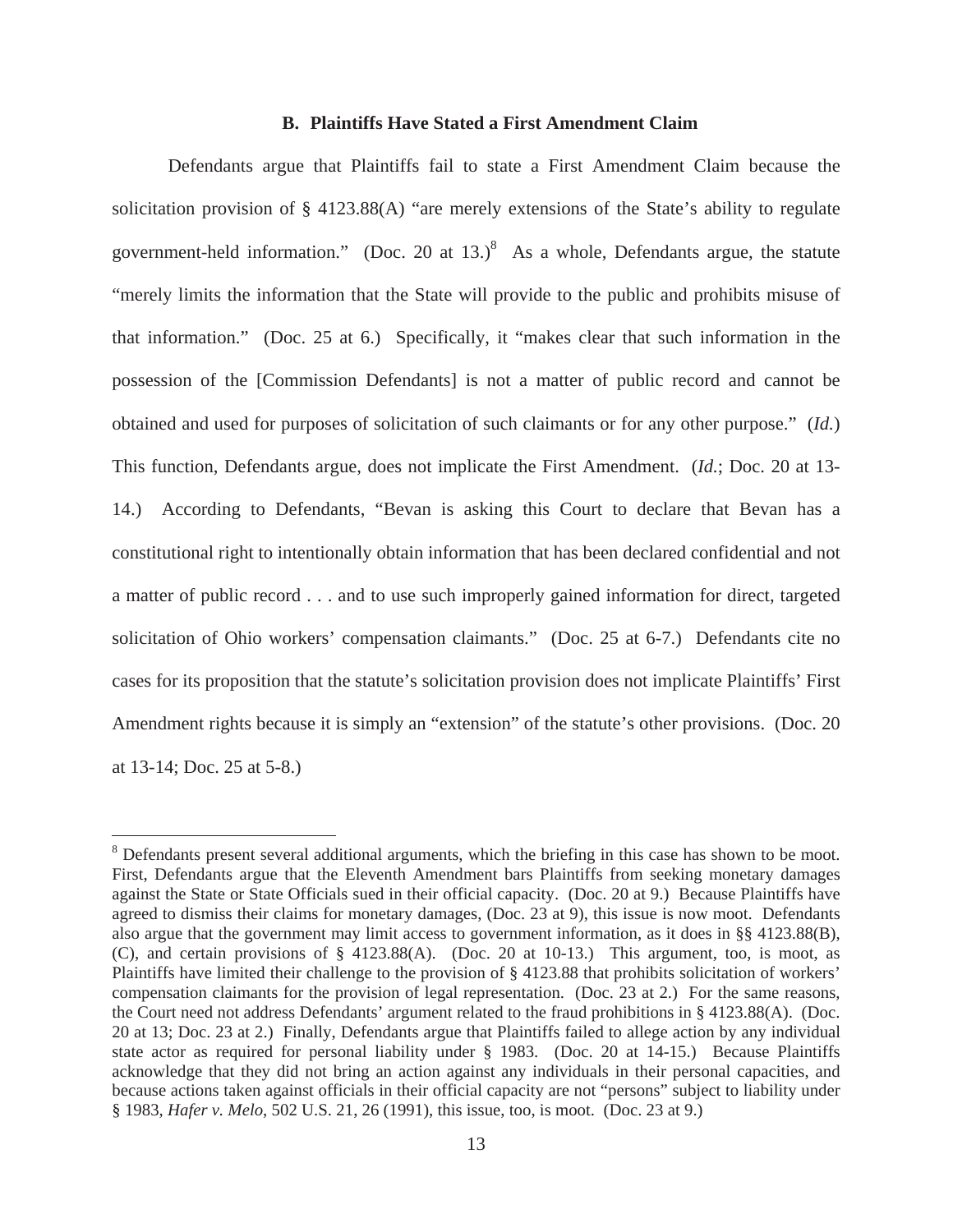#### **B. Plaintiffs Have Stated a First Amendment Claim**

Defendants argue that Plaintiffs fail to state a First Amendment Claim because the solicitation provision of § 4123.88(A) "are merely extensions of the State's ability to regulate government-held information." (Doc. 20 at  $13.$ )<sup>8</sup> As a whole, Defendants argue, the statute "merely limits the information that the State will provide to the public and prohibits misuse of that information." (Doc. 25 at 6.) Specifically, it "makes clear that such information in the possession of the [Commission Defendants] is not a matter of public record and cannot be obtained and used for purposes of solicitation of such claimants or for any other purpose." (*Id.*) This function, Defendants argue, does not implicate the First Amendment. (*Id.*; Doc. 20 at 13- 14.) According to Defendants, "Bevan is asking this Court to declare that Bevan has a constitutional right to intentionally obtain information that has been declared confidential and not a matter of public record . . . and to use such improperly gained information for direct, targeted solicitation of Ohio workers' compensation claimants." (Doc. 25 at 6-7.) Defendants cite no cases for its proposition that the statute's solicitation provision does not implicate Plaintiffs' First Amendment rights because it is simply an "extension" of the statute's other provisions. (Doc. 20 at 13-14; Doc. 25 at 5-8.)

<sup>&</sup>lt;sup>8</sup> Defendants present several additional arguments, which the briefing in this case has shown to be moot. First, Defendants argue that the Eleventh Amendment bars Plaintiffs from seeking monetary damages against the State or State Officials sued in their official capacity. (Doc. 20 at 9.) Because Plaintiffs have agreed to dismiss their claims for monetary damages, (Doc. 23 at 9), this issue is now moot. Defendants also argue that the government may limit access to government information, as it does in §§ 4123.88(B), (C), and certain provisions of § 4123.88(A). (Doc. 20 at 10-13.) This argument, too, is moot, as Plaintiffs have limited their challenge to the provision of § 4123.88 that prohibits solicitation of workers' compensation claimants for the provision of legal representation. (Doc. 23 at 2.) For the same reasons, the Court need not address Defendants' argument related to the fraud prohibitions in § 4123.88(A). (Doc. 20 at 13; Doc. 23 at 2.) Finally, Defendants argue that Plaintiffs failed to allege action by any individual state actor as required for personal liability under § 1983. (Doc. 20 at 14-15.) Because Plaintiffs acknowledge that they did not bring an action against any individuals in their personal capacities, and because actions taken against officials in their official capacity are not "persons" subject to liability under § 1983, *Hafer v. Melo*, 502 U.S. 21, 26 (1991), this issue, too, is moot. (Doc. 23 at 9.)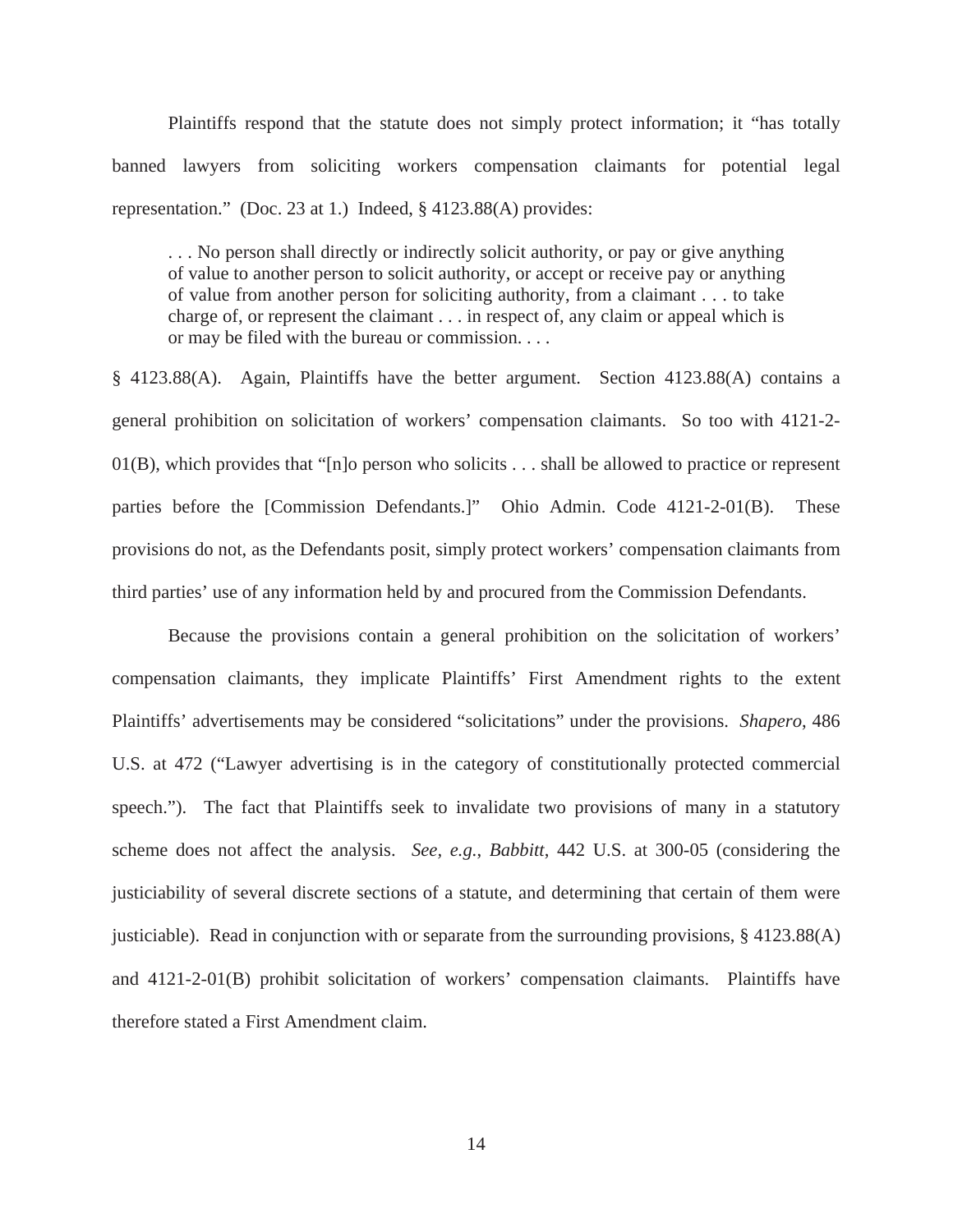Plaintiffs respond that the statute does not simply protect information; it "has totally banned lawyers from soliciting workers compensation claimants for potential legal representation." (Doc. 23 at 1.) Indeed, § 4123.88(A) provides:

. . . No person shall directly or indirectly solicit authority, or pay or give anything of value to another person to solicit authority, or accept or receive pay or anything of value from another person for soliciting authority, from a claimant . . . to take charge of, or represent the claimant . . . in respect of, any claim or appeal which is or may be filed with the bureau or commission. . . .

§ 4123.88(A). Again, Plaintiffs have the better argument. Section 4123.88(A) contains a general prohibition on solicitation of workers' compensation claimants. So too with 4121-2- 01(B), which provides that "[n]o person who solicits . . . shall be allowed to practice or represent parties before the [Commission Defendants.]" Ohio Admin. Code 4121-2-01(B). These provisions do not, as the Defendants posit, simply protect workers' compensation claimants from third parties' use of any information held by and procured from the Commission Defendants.

Because the provisions contain a general prohibition on the solicitation of workers' compensation claimants, they implicate Plaintiffs' First Amendment rights to the extent Plaintiffs' advertisements may be considered "solicitations" under the provisions. *Shapero*, 486 U.S. at 472 ("Lawyer advertising is in the category of constitutionally protected commercial speech."). The fact that Plaintiffs seek to invalidate two provisions of many in a statutory scheme does not affect the analysis. *See, e.g.*, *Babbitt*, 442 U.S. at 300-05 (considering the justiciability of several discrete sections of a statute, and determining that certain of them were justiciable). Read in conjunction with or separate from the surrounding provisions,  $\S$  4123.88(A) and 4121-2-01(B) prohibit solicitation of workers' compensation claimants. Plaintiffs have therefore stated a First Amendment claim.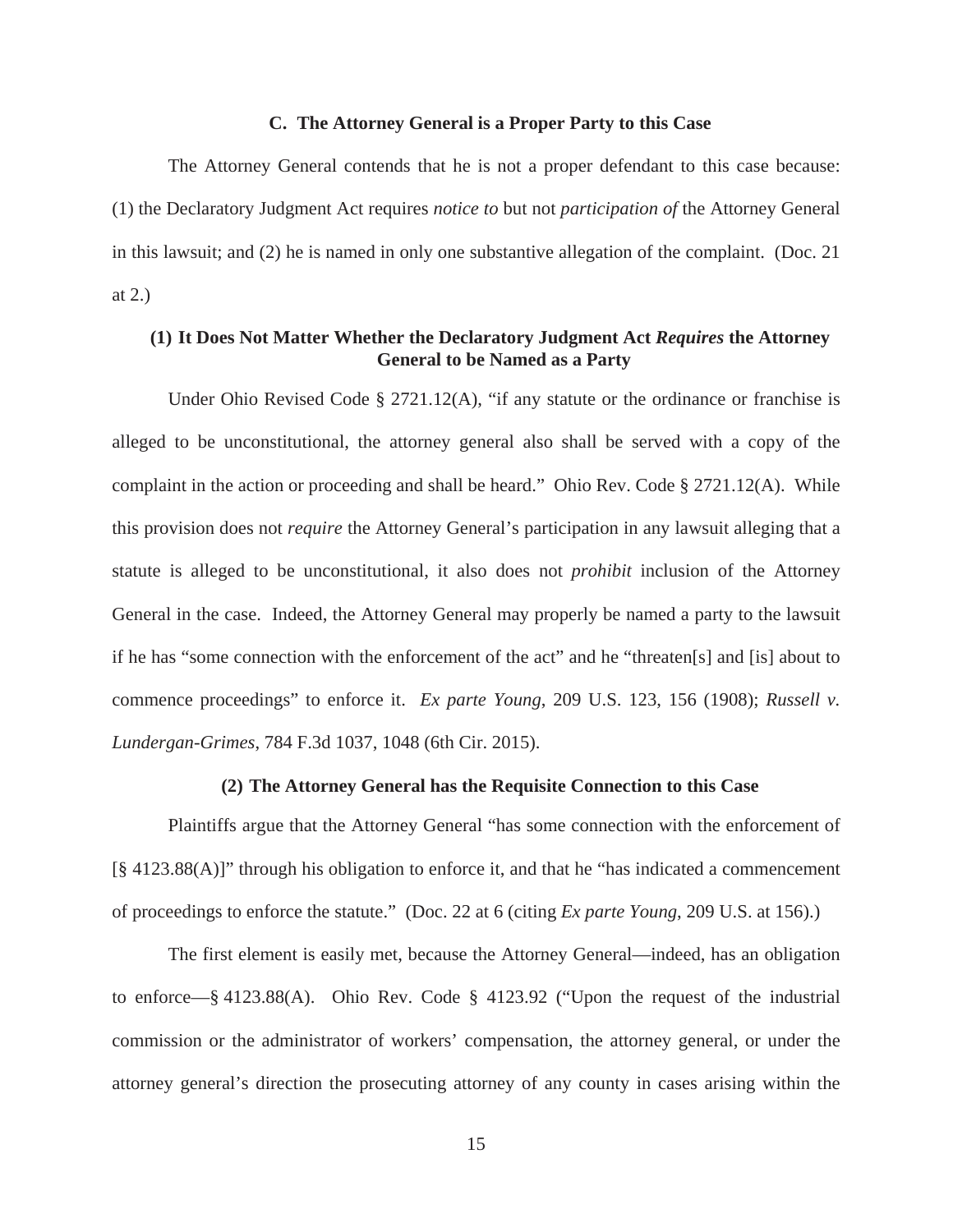#### **C. The Attorney General is a Proper Party to this Case**

The Attorney General contends that he is not a proper defendant to this case because: (1) the Declaratory Judgment Act requires *notice to* but not *participation of* the Attorney General in this lawsuit; and (2) he is named in only one substantive allegation of the complaint. (Doc. 21 at 2.)

## **(1) It Does Not Matter Whether the Declaratory Judgment Act** *Requires* **the Attorney General to be Named as a Party**

Under Ohio Revised Code § 2721.12(A), "if any statute or the ordinance or franchise is alleged to be unconstitutional, the attorney general also shall be served with a copy of the complaint in the action or proceeding and shall be heard." Ohio Rev. Code § 2721.12(A). While this provision does not *require* the Attorney General's participation in any lawsuit alleging that a statute is alleged to be unconstitutional, it also does not *prohibit* inclusion of the Attorney General in the case. Indeed, the Attorney General may properly be named a party to the lawsuit if he has "some connection with the enforcement of the act" and he "threaten[s] and [is] about to commence proceedings" to enforce it. *Ex parte Young*, 209 U.S. 123, 156 (1908); *Russell v. Lundergan-Grimes*, 784 F.3d 1037, 1048 (6th Cir. 2015).

#### **(2) The Attorney General has the Requisite Connection to this Case**

Plaintiffs argue that the Attorney General "has some connection with the enforcement of [§ 4123.88(A)]" through his obligation to enforce it, and that he "has indicated a commencement of proceedings to enforce the statute." (Doc. 22 at 6 (citing *Ex parte Young*, 209 U.S. at 156).)

The first element is easily met, because the Attorney General—indeed, has an obligation to enforce—§ 4123.88(A). Ohio Rev. Code § 4123.92 ("Upon the request of the industrial commission or the administrator of workers' compensation, the attorney general, or under the attorney general's direction the prosecuting attorney of any county in cases arising within the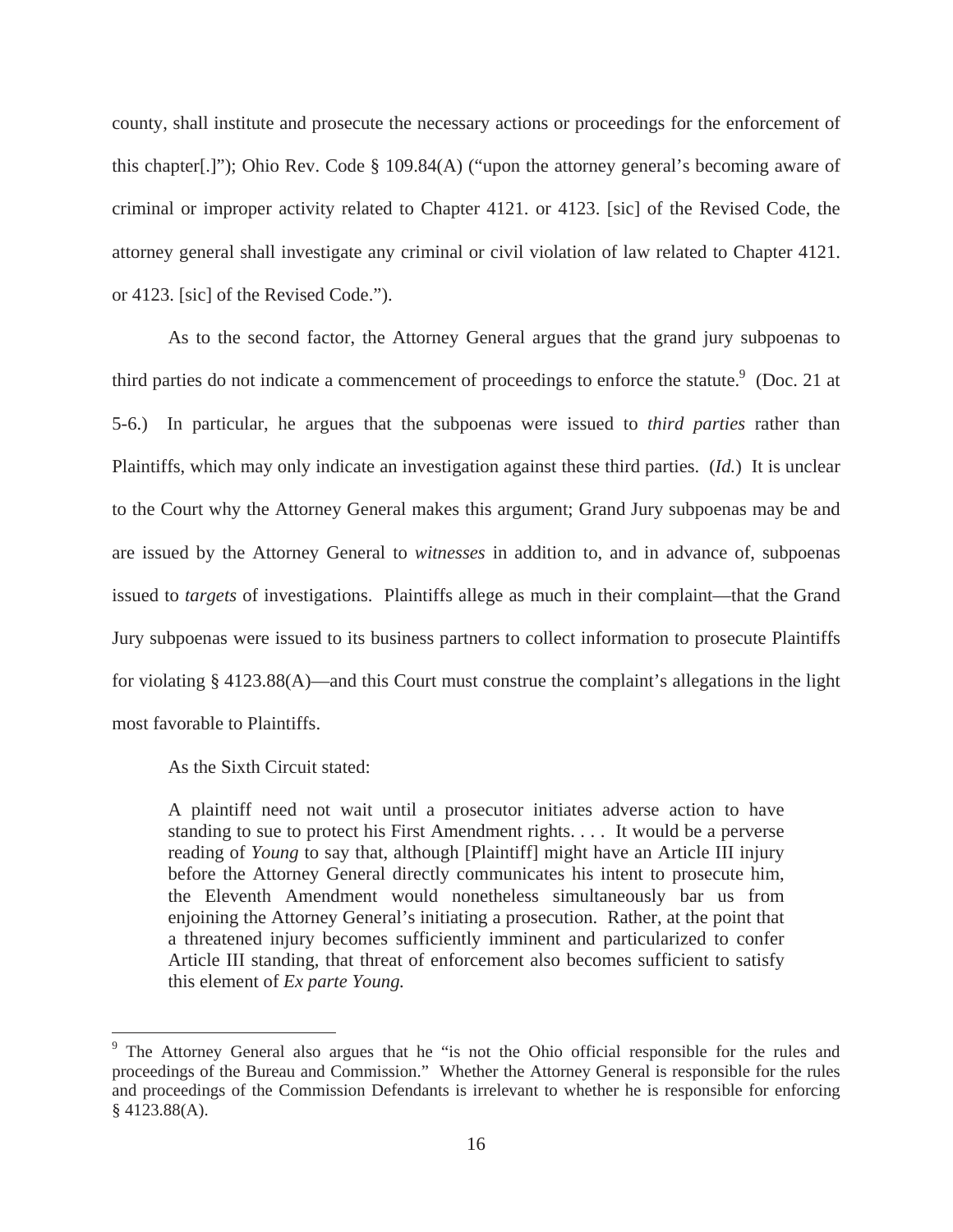county, shall institute and prosecute the necessary actions or proceedings for the enforcement of this chapter[.]"); Ohio Rev. Code § 109.84(A) ("upon the attorney general's becoming aware of criminal or improper activity related to Chapter 4121. or 4123. [sic] of the Revised Code, the attorney general shall investigate any criminal or civil violation of law related to Chapter 4121. or 4123. [sic] of the Revised Code.").

As to the second factor, the Attorney General argues that the grand jury subpoenas to third parties do not indicate a commencement of proceedings to enforce the statute. $9$  (Doc. 21 at 5-6.) In particular, he argues that the subpoenas were issued to *third parties* rather than Plaintiffs, which may only indicate an investigation against these third parties. (*Id.*) It is unclear to the Court why the Attorney General makes this argument; Grand Jury subpoenas may be and are issued by the Attorney General to *witnesses* in addition to, and in advance of, subpoenas issued to *targets* of investigations. Plaintiffs allege as much in their complaint—that the Grand Jury subpoenas were issued to its business partners to collect information to prosecute Plaintiffs for violating § 4123.88(A)—and this Court must construe the complaint's allegations in the light most favorable to Plaintiffs.

As the Sixth Circuit stated:

A plaintiff need not wait until a prosecutor initiates adverse action to have standing to sue to protect his First Amendment rights. . . . It would be a perverse reading of *Young* to say that, although [Plaintiff] might have an Article III injury before the Attorney General directly communicates his intent to prosecute him, the Eleventh Amendment would nonetheless simultaneously bar us from enjoining the Attorney General's initiating a prosecution. Rather, at the point that a threatened injury becomes sufficiently imminent and particularized to confer Article III standing, that threat of enforcement also becomes sufficient to satisfy this element of *Ex parte Young.*

<sup>&</sup>lt;sup>9</sup> The Attorney General also argues that he "is not the Ohio official responsible for the rules and proceedings of the Bureau and Commission." Whether the Attorney General is responsible for the rules and proceedings of the Commission Defendants is irrelevant to whether he is responsible for enforcing § 4123.88(A).